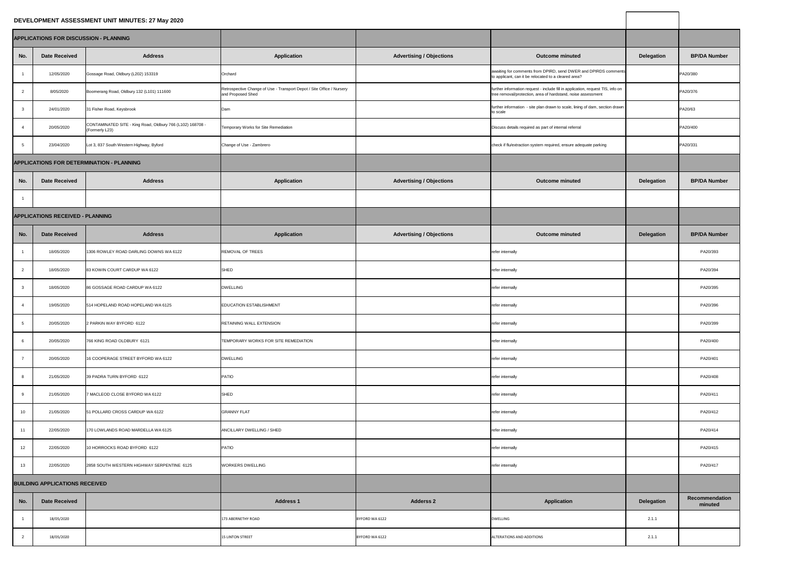## **DEVELOPMENT ASSESSMENT UNIT MINUTES: 27 May 2020**

| <b>DEVELOPMENT ASSESSMENT UNIT MINUTES: 27 May 2020</b> |                                         |                                                                              |                                                                                            |                                 |                                                                                                                                                 |                   |                                  |
|---------------------------------------------------------|-----------------------------------------|------------------------------------------------------------------------------|--------------------------------------------------------------------------------------------|---------------------------------|-------------------------------------------------------------------------------------------------------------------------------------------------|-------------------|----------------------------------|
| APPLICATIONS FOR DISCUSSION - PLANNING                  |                                         |                                                                              |                                                                                            |                                 |                                                                                                                                                 |                   |                                  |
| No.                                                     | <b>Date Received</b>                    | <b>Address</b>                                                               | <b>Application</b>                                                                         | <b>Advertising / Objections</b> | <b>Outcome minuted</b>                                                                                                                          | <b>Delegation</b> | <b>BP/DA Number</b>              |
|                                                         | 12/05/2020                              | Gossage Road, Oldbury (L202) 153319                                          | Orchard                                                                                    |                                 | awaiting for comments from DPIRD, send DWER and DPIRDS comments<br>to applicant, can it be relocated to a cleared area?                         |                   | PA20/380                         |
|                                                         | 8/05/2020                               | Boomerang Road, Oldbury 132 (L101) 111600                                    | Retrospective Change of Use - Transport Depot / Site Office / Nursery<br>and Proposed Shed |                                 | further information request - include fill in application, request TIS, info on<br>tree removal/protection, area of hardstand, noise assessment |                   | PA20/376                         |
|                                                         | 24/01/2020                              | 31 Fisher Road, Keysbrook                                                    | Dam                                                                                        |                                 | further information - site plan drawn to scale, lining of dam, section drawn<br>to scale                                                        |                   | PA20/63                          |
|                                                         | 20/05/2020                              | CONTAMINATED SITE - King Road, Oldbury 766 (L102) 168708 -<br>(Formerly L23) | Temporary Works for Site Remediation                                                       |                                 | Discuss details required as part of internal referral                                                                                           |                   | PA20/400                         |
|                                                         | 23/04/2020                              | Lot 3, 837 South Western Highway, Byford                                     | Change of Use - Zambrero                                                                   |                                 | check if flu/extraction system required, ensure adequate parking                                                                                |                   | PA20/331                         |
|                                                         |                                         | APPLICATIONS FOR DETERMINATION - PLANNING                                    |                                                                                            |                                 |                                                                                                                                                 |                   |                                  |
| No.                                                     | <b>Date Received</b>                    | <b>Address</b>                                                               | <b>Application</b>                                                                         | <b>Advertising / Objections</b> | <b>Outcome minuted</b>                                                                                                                          | <b>Delegation</b> | <b>BP/DA Number</b>              |
|                                                         |                                         |                                                                              |                                                                                            |                                 |                                                                                                                                                 |                   |                                  |
|                                                         | <b>APPLICATIONS RECEIVED - PLANNING</b> |                                                                              |                                                                                            |                                 |                                                                                                                                                 |                   |                                  |
| No.                                                     | <b>Date Received</b>                    | <b>Address</b>                                                               | <b>Application</b>                                                                         | <b>Advertising / Objections</b> | <b>Outcome minuted</b>                                                                                                                          | <b>Delegation</b> | <b>BP/DA Number</b>              |
|                                                         | 18/05/2020                              | 1306 ROWLEY ROAD DARLING DOWNS WA 6122                                       | <b>REMOVAL OF TREES</b>                                                                    |                                 | refer internally                                                                                                                                |                   | PA20/393                         |
|                                                         | 18/05/2020                              | 83 KOWIN COURT CARDUP WA 6122                                                | SHED                                                                                       |                                 | refer internally                                                                                                                                |                   | PA20/394                         |
|                                                         | 18/05/2020                              | 86 GOSSAGE ROAD CARDUP WA 6122                                               | <b>DWELLING</b>                                                                            |                                 | refer internally                                                                                                                                |                   | PA20/395                         |
|                                                         | 19/05/2020                              | 514 HOPELAND ROAD HOPELAND WA 6125                                           | <b>EDUCATION ESTABLISHMENT</b>                                                             |                                 | refer internally                                                                                                                                |                   | PA20/396                         |
|                                                         | 20/05/2020                              | 2 PARKIN WAY BYFORD 6122                                                     | <b>RETAINING WALL EXTENSION</b>                                                            |                                 | refer internally                                                                                                                                |                   | PA20/399                         |
|                                                         | 20/05/2020                              | 766 KING ROAD OLDBURY 6121                                                   | TEMPORARY WORKS FOR SITE REMEDIATION                                                       |                                 | refer internally                                                                                                                                |                   | PA20/400                         |
|                                                         | 20/05/2020                              | 16 COOPERAGE STREET BYFORD WA 6122                                           | <b>DWELLING</b>                                                                            |                                 | refer internally                                                                                                                                |                   | PA20/401                         |
|                                                         | 21/05/2020                              | 39 PADRA TURN BYFORD 6122                                                    | PATIO                                                                                      |                                 | refer internally                                                                                                                                |                   | PA20/408                         |
|                                                         | 21/05/2020                              | 7 MACLEOD CLOSE BYFORD WA 6122                                               | SHED                                                                                       |                                 | refer internally                                                                                                                                |                   | PA20/411                         |
| 10 <sup>1</sup>                                         | 21/05/2020                              | 51 POLLARD CROSS CARDUP WA 6122                                              | <b>GRANNY FLAT</b>                                                                         |                                 | refer internally                                                                                                                                |                   | PA20/412                         |
| 11                                                      | 22/05/2020                              | 170 LOWLANDS ROAD MARDELLA WA 6125                                           | ANCILLARY DWELLING / SHED                                                                  |                                 | refer internally                                                                                                                                |                   | PA20/414                         |
| 12 <sup>7</sup>                                         | 22/05/2020                              | 10 HORROCKS ROAD BYFORD 6122                                                 | PATIO                                                                                      |                                 | refer internally                                                                                                                                |                   | PA20/415                         |
| 13 <sup>7</sup>                                         | 22/05/2020                              | 2858 SOUTH WESTERN HIGHWAY SERPENTINE 6125                                   | <b>WORKERS DWELLING</b>                                                                    |                                 | refer internally                                                                                                                                |                   | PA20/417                         |
| <b>BUILDING APPLICATIONS RECEIVED</b>                   |                                         |                                                                              |                                                                                            |                                 |                                                                                                                                                 |                   |                                  |
| No.                                                     | <b>Date Received</b>                    |                                                                              | <b>Address 1</b>                                                                           | <b>Adderss 2</b>                | <b>Application</b>                                                                                                                              | <b>Delegation</b> | <b>Recommendation</b><br>minuted |
|                                                         | 18/05/2020                              |                                                                              | 173 ABERNETHY ROAD                                                                         | BYFORD WA 6122                  | <b>DWELLING</b>                                                                                                                                 | 2.1.1             |                                  |
|                                                         | 18/05/2020                              |                                                                              | <b>15 LINTON STREET</b>                                                                    | BYFORD WA 6122                  | ALTERATIONS AND ADDITIONS                                                                                                                       | 2.1.1             |                                  |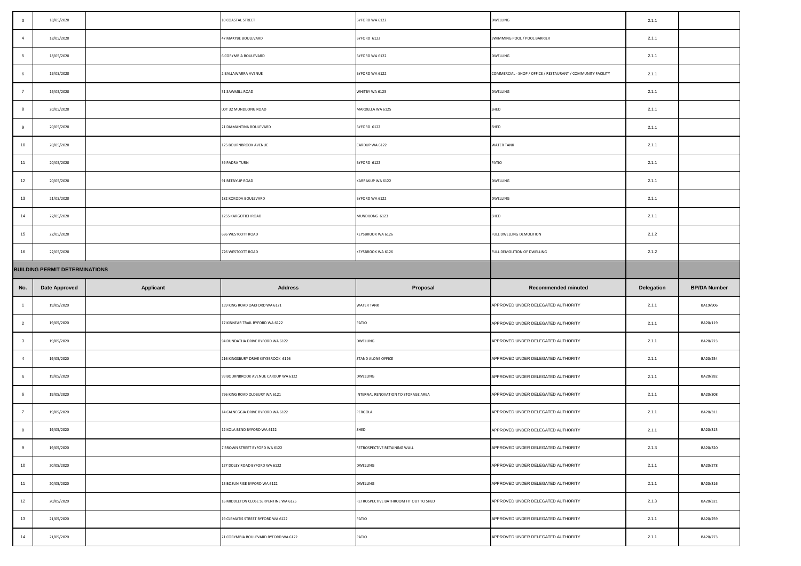|     | 18/05/2020                            |                  | 10 COASTAL STREET                     | BYFORD WA 6122                         | <b>DWELLING</b>                                              | 2.1.1             |                     |
|-----|---------------------------------------|------------------|---------------------------------------|----------------------------------------|--------------------------------------------------------------|-------------------|---------------------|
|     | 18/05/2020                            |                  | 47 MAKYBE BOULEVARD                   | BYFORD 6122                            | SWIMMING POOL / POOL BARRIER                                 | 2.1.1             |                     |
|     | 18/05/2020                            |                  | 6 CORYMBIA BOULEVARD                  | BYFORD WA 6122                         | <b>DWELLING</b>                                              | 2.1.1             |                     |
|     | 19/05/2020                            |                  | 2 BALLAWARRA AVENUE                   | BYFORD WA 6122                         | COMMERCIAL - SHOP / OFFICE / RESTAURANT / COMMUNITY FACILITY | 2.1.1             |                     |
|     | 19/05/2020                            |                  | 51 SAWMILL ROAD                       | WHITBY WA 6123                         | <b>DWELLING</b>                                              | 2.1.1             |                     |
|     | 20/05/2020                            |                  | LOT 32 MUNDIJONG ROAD                 | MARDELLA WA 6125                       | <b>SHED</b>                                                  | 2.1.1             |                     |
|     | 20/05/2020                            |                  | 21 DIAMANTINA BOULEVARD               | BYFORD 6122                            | <b>SHED</b>                                                  | 2.1.1             |                     |
| 10  | 20/05/2020                            |                  | 125 BOURNBROOK AVENUE                 | CARDUP WA 6122                         | <b>WATER TANK</b>                                            | 2.1.1             |                     |
| 11  | 20/05/2020                            |                  | <b>39 PADRA TURN</b>                  | BYFORD 6122                            | PATIO                                                        | 2.1.1             |                     |
| 12  | 20/05/2020                            |                  | 91 BEENYUP ROAD                       | KARRAKUP WA 6122                       | <b>DWELLING</b>                                              | 2.1.1             |                     |
| 13  | 21/05/2020                            |                  | 182 KOKODA BOULEVARD                  | BYFORD WA 6122                         | <b>DWELLING</b>                                              | 2.1.1             |                     |
| 14  | 22/05/2020                            |                  | 1255 KARGOTICH ROAD                   | MUNDIJONG 6123                         | <b>SHED</b>                                                  | 2.1.1             |                     |
| 15  | 22/05/2020                            |                  | 686 WESTCOTT ROAD                     | <b>KEYSBROOK WA 6126</b>               | FULL DWELLING DEMOLITION                                     | 2.1.2             |                     |
| 16  | 22/05/2020                            |                  | 726 WESTCOTT ROAD                     | <b>KEYSBROOK WA 6126</b>               | FULL DEMOLITION OF DWELLING                                  | 2.1.2             |                     |
|     | <b>BUILDING PERMIT DETERMINATIONS</b> |                  |                                       |                                        |                                                              |                   |                     |
|     |                                       |                  |                                       |                                        |                                                              |                   |                     |
| No. | Date Approved                         | <b>Applicant</b> | <b>Address</b>                        | Proposal                               | <b>Recommended minuted</b>                                   | <b>Delegation</b> | <b>BP/DA Number</b> |
|     | 19/05/2020                            |                  | 159 KING ROAD OAKFORD WA 6121         | <b>WATER TANK</b>                      | APPROVED UNDER DELEGATED AUTHORITY                           | 2.1.1             | BA19/906            |
|     | 19/05/2020                            |                  | 17 KINNEAR TRAIL BYFORD WA 6122       | <b>PATIO</b>                           | APPROVED UNDER DELEGATED AUTHORITY                           | 2.1.1             | BA20/119            |
|     | 19/05/2020                            |                  | 94 DUNDATHA DRIVE BYFORD WA 6122      | <b>DWELLING</b>                        | APPROVED UNDER DELEGATED AUTHORITY                           | 2.1.1             | BA20/223            |
|     | 19/05/2020                            |                  | 216 KINGSBURY DRIVE KEYSBROOK 6126    | <b>STAND ALONE OFFICE</b>              | APPROVED UNDER DELEGATED AUTHORITY                           | 2.1.1             | BA20/254            |
|     | 19/05/2020                            |                  | 99 BOURNBROOK AVENUE CARDUP WA 6122   | <b>DWELLING</b>                        | APPROVED UNDER DELEGATED AUTHORITY                           | 2.1.1             | BA20/282            |
|     | 19/05/2020                            |                  | 796 KING ROAD OLDBURY WA 6121         | INTERNAL RENOVATION TO STORAGE AREA    | APPROVED UNDER DELEGATED AUTHORITY                           | 2.1.1             | BA20/308            |
|     | 19/05/2020                            |                  | 14 CALNEGGIA DRIVE BYFORD WA 6122     | PERGOLA                                | APPROVED UNDER DELEGATED AUTHORITY                           | 2.1.1             | BA20/311            |
|     | 19/05/2020                            |                  | 12 KOLA BEND BYFORD WA 6122           | SHED                                   | APPROVED UNDER DELEGATED AUTHORITY                           | 2.1.1             | BA20/315            |
|     | 19/05/2020                            |                  | 7 BROWN STREET BYFORD WA 6122         | RETROSPECTIVE RETAINING WALL           | APPROVED UNDER DELEGATED AUTHORITY                           | 2.1.3             | BA20/320            |
| 10  | 20/05/2020                            |                  | 127 DOLEY ROAD BYFORD WA 6122         | <b>DWELLING</b>                        | APPROVED UNDER DELEGATED AUTHORITY                           | 2.1.1             | BA20/278            |
| 11  | 20/05/2020                            |                  | 15 BOSUN RISE BYFORD WA 6122          | <b>DWELLING</b>                        | APPROVED UNDER DELEGATED AUTHORITY                           | 2.1.1             | BA20/316            |
| 12  | 20/05/2020                            |                  | 16 MIDDLETON CLOSE SERPENTINE WA 6125 | RETROSPECTIVE BATHROOM FIT OUT TO SHED | APPROVED UNDER DELEGATED AUTHORITY                           | 2.1.3             | BA20/321            |
| 13  | 21/05/2020                            |                  | 19 CLEMATIS STREET BYFORD WA 6122     | <b>PATIO</b>                           | APPROVED UNDER DELEGATED AUTHORITY                           | 2.1.1             | BA20/259            |
| 14  | 21/05/2020                            |                  | 21 CORYMBIA BOULEVARD BYFORD WA 6122  | <b>PATIO</b>                           | APPROVED UNDER DELEGATED AUTHORITY                           | 2.1.1             | BA20/273            |

|     | 18/05/2020                            |                  | 10 COASTAL STREET                     | BYFORD WA 6122                         | <b>DWELLING</b>                                              | 2.1.1             |                     |
|-----|---------------------------------------|------------------|---------------------------------------|----------------------------------------|--------------------------------------------------------------|-------------------|---------------------|
|     | 18/05/2020                            |                  | 47 MAKYBE BOULEVARD                   | BYFORD 6122                            | SWIMMING POOL / POOL BARRIER                                 | 2.1.1             |                     |
|     | 18/05/2020                            |                  | 6 CORYMBIA BOULEVARD                  | BYFORD WA 6122                         | <b>DWELLING</b>                                              | 2.1.1             |                     |
|     | 19/05/2020                            |                  | 2 BALLAWARRA AVENUE                   | BYFORD WA 6122                         | COMMERCIAL - SHOP / OFFICE / RESTAURANT / COMMUNITY FACILITY | 2.1.1             |                     |
|     | 19/05/2020                            |                  | 51 SAWMILL ROAD                       | WHITBY WA 6123                         | <b>DWELLING</b>                                              | 2.1.1             |                     |
|     | 20/05/2020                            |                  | LOT 32 MUNDIJONG ROAD                 | MARDELLA WA 6125                       | <b>SHED</b>                                                  | 2.1.1             |                     |
|     | 20/05/2020                            |                  | 21 DIAMANTINA BOULEVARD               | BYFORD 6122                            | <b>SHED</b>                                                  | 2.1.1             |                     |
| 10  | 20/05/2020                            |                  | 125 BOURNBROOK AVENUE                 | CARDUP WA 6122                         | <b>WATER TANK</b>                                            | 2.1.1             |                     |
| 11  | 20/05/2020                            |                  | <b>39 PADRA TURN</b>                  | BYFORD 6122                            | PATIO                                                        | 2.1.1             |                     |
| 12  | 20/05/2020                            |                  | 91 BEENYUP ROAD                       | KARRAKUP WA 6122                       | <b>DWELLING</b>                                              | 2.1.1             |                     |
| 13  | 21/05/2020                            |                  | 182 KOKODA BOULEVARD                  | BYFORD WA 6122                         | <b>DWELLING</b>                                              | 2.1.1             |                     |
| 14  | 22/05/2020                            |                  | 1255 KARGOTICH ROAD                   | MUNDIJONG 6123                         | SHED                                                         | 2.1.1             |                     |
| 15  | 22/05/2020                            |                  | 686 WESTCOTT ROAD                     | <b>KEYSBROOK WA 6126</b>               | <b>FULL DWELLING DEMOLITION</b>                              | 2.1.2             |                     |
| 16  | 22/05/2020                            |                  | 726 WESTCOTT ROAD                     | <b>KEYSBROOK WA 6126</b>               | FULL DEMOLITION OF DWELLING                                  | 2.1.2             |                     |
|     | <b>BUILDING PERMIT DETERMINATIONS</b> |                  |                                       |                                        |                                                              |                   |                     |
|     |                                       |                  |                                       |                                        |                                                              |                   |                     |
| No. | <b>Date Approved</b>                  | <b>Applicant</b> | <b>Address</b>                        | <b>Proposal</b>                        | <b>Recommended minuted</b>                                   | <b>Delegation</b> | <b>BP/DA Number</b> |
|     | 19/05/2020                            |                  | 159 KING ROAD OAKFORD WA 6121         | <b>WATER TANK</b>                      | APPROVED UNDER DELEGATED AUTHORITY                           | 2.1.1             | BA19/906            |
|     | 19/05/2020                            |                  | 17 KINNEAR TRAIL BYFORD WA 6122       | <b>PATIO</b>                           | APPROVED UNDER DELEGATED AUTHORITY                           | 2.1.1             | BA20/119            |
|     | 19/05/2020                            |                  | 94 DUNDATHA DRIVE BYFORD WA 6122      | <b>DWELLING</b>                        | APPROVED UNDER DELEGATED AUTHORITY                           | 2.1.1             | BA20/223            |
|     | 19/05/2020                            |                  | 216 KINGSBURY DRIVE KEYSBROOK 6126    | <b>STAND ALONE OFFICE</b>              | APPROVED UNDER DELEGATED AUTHORITY                           | 2.1.1             | BA20/254            |
|     | 19/05/2020                            |                  | 99 BOURNBROOK AVENUE CARDUP WA 6122   | <b>DWELLING</b>                        | APPROVED UNDER DELEGATED AUTHORITY                           | 2.1.1             | BA20/282            |
|     | 19/05/2020                            |                  | 796 KING ROAD OLDBURY WA 6121         | INTERNAL RENOVATION TO STORAGE AREA    | APPROVED UNDER DELEGATED AUTHORITY                           | 2.1.1             | BA20/308            |
|     | 19/05/2020                            |                  | 14 CALNEGGIA DRIVE BYFORD WA 6122     | PERGOLA                                | APPROVED UNDER DELEGATED AUTHORITY                           | 2.1.1             | BA20/311            |
|     | 19/05/2020                            |                  | 12 KOLA BEND BYFORD WA 6122           | SHED                                   | APPROVED UNDER DELEGATED AUTHORITY                           | 2.1.1             | BA20/315            |
|     | 19/05/2020                            |                  | 7 BROWN STREET BYFORD WA 6122         | RETROSPECTIVE RETAINING WALL           | APPROVED UNDER DELEGATED AUTHORITY                           | 2.1.3             | BA20/320            |
| 10  | 20/05/2020                            |                  | 127 DOLEY ROAD BYFORD WA 6122         | <b>DWELLING</b>                        | APPROVED UNDER DELEGATED AUTHORITY                           | 2.1.1             | BA20/278            |
| 11  | 20/05/2020                            |                  | 15 BOSUN RISE BYFORD WA 6122          | <b>DWELLING</b>                        | APPROVED UNDER DELEGATED AUTHORITY                           | 2.1.1             | BA20/316            |
| 12  | 20/05/2020                            |                  | 16 MIDDLETON CLOSE SERPENTINE WA 6125 | RETROSPECTIVE BATHROOM FIT OUT TO SHED | APPROVED UNDER DELEGATED AUTHORITY                           | 2.1.3             | BA20/321            |
| 13  | 21/05/2020                            |                  | 19 CLEMATIS STREET BYFORD WA 6122     | <b>PATIO</b>                           | APPROVED UNDER DELEGATED AUTHORITY                           | 2.1.1             | BA20/259            |
| 14  | 21/05/2020                            |                  | 21 CORYMBIA BOULEVARD BYFORD WA 6122  | <b>PATIO</b>                           | APPROVED UNDER DELEGATED AUTHORITY                           | 2.1.1             | BA20/273            |